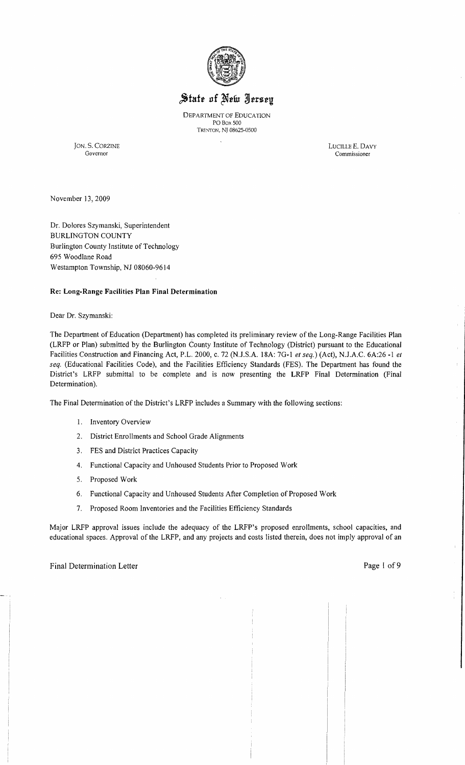

# State of New Jersey

DEPARTMENT OF EDUCATION POBox 500 Trenton, NJ 08625-0500

JON. S. CORZINE LUCILLE E, DAVY Governor Commissioner

Commissioner

November 13, 2009

Dr. Dolores Szymanski, Superintendent BURLINGTON COUNTY Burlington County Institute of Technology 695 Woodlane Road Westampton Township, NJ 08060-9614

## Re: Long-Range Facilities Plan Final Determination

Dear Dr. Szymanski:

The Department of Education (Department) has completed its preliminary review of the Long-Range Facilities Plan (LRFP or Plan) submitted by the Burlington County Institute of Technology (District) pursuant to the Educational Facilities Construction and Financing Act, P.L. 2000, c. 72 (N.lS.A. 18A: 7G-1 *et seq.)* (Act), N.lA.C. 6A:26 -1 *et seq.* (Educational Facilities Code), and the Facilities Efficiency Standards (FES). The Department has found the District's LRFP submittal to be complete and is now presenting the LRFP Final Determination (Final Determination).

The Final Determination of the District's LRFP includes a Summary with the following sections:

- 1. Inventory Overview
- 2. District Enrollments and School Grade Alignments
- 3. FES and District Practices Capacity
- 4. Functional Capacity and Unhoused Students Prior to Proposed Work
- 5. Proposed Work
- 6. Functional Capacity and Unhoused Students After Completion of Proposed Work
- 7. Proposed Room Inventories and the Facilities Efficiency Standards

Major LRFP approval issues include the adequacy of the LRFP's proposed enrollments, school capacities, and educational spaces. Approval of the LRFP, and any projects and costs listed therein, does not imply approval of an  $\mathcal{L}$ 

 $\mathbf{r}$ 

 $\bar{1}$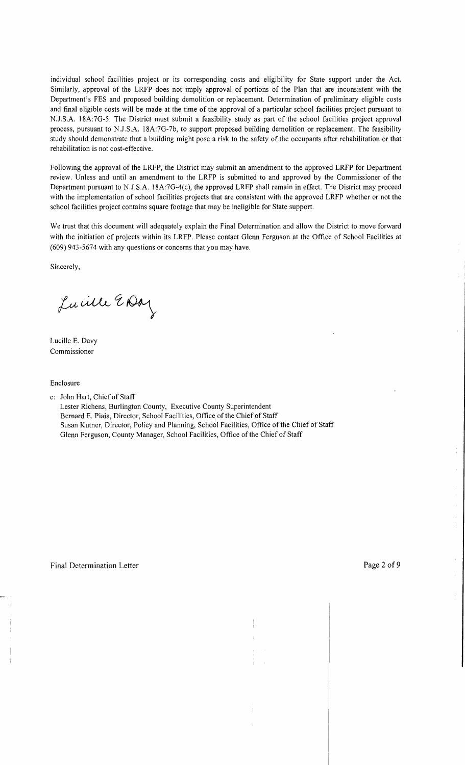individual school facilities project or its corresponding costs and eligibility for State support under the Act. Similarly, approval of the LRFP does not imply approval of portions of the Plan that are inconsistent with the Department's FES and proposed building demolition or replacement. Determination of preliminary eligible costs and final eligible costs will be made at the time of the approval of a particular school facilities project pursuant to NJ.S.A. 18A:7G-5. The District must submit a feasibility study as part of the school facilities project approval process, pursuant to NJ.S.A. l8A:7G-7b, to support proposed building demolition or replacement. The feasibility study should demonstrate that a building might pose a risk to the safety of the occupants after rehabilitation or that rehabilitation is not cost-effective.

Following the approval of the LRFP, the District may submit an amendment to the approved LRFP for Department review. Unless and until an amendment to the LRFP is submitted to and approved by the Commissioner of the Department pursuant to NJ.S.A. 18A:7G-4(c), the approved LRFP shall remain in effect. The District may proceed with the implementation of school facilities projects that are consistent with the approved LRFP whether or not the school facilities project contains square footage that may be ineligible for State support.

We trust that this document will adequately explain the Final Determination and allow the District to move forward with the initiation of projects within its LRFP. Please contact Glenn Ferguson at the Office of School Facilities at (609) 943-5674 with any questions or concerns that you may have.

Sincerely,

Lucille EDay

Lucille E. Davy Commissioner

Enclosure

c: John Hart, Chiefof Staff

Lester Richens, Burlington County, Executive County Superintendent Bernard E. Piaia, Director, School Facilities, Office of the Chief of Staff Susan Kutner, Director, Policy and Planning, School Facilities, Office of the Chief of Staff Glenn Ferguson, County Manager, School Facilities, Office of the Chief of Staff

÷.

 $\ddagger$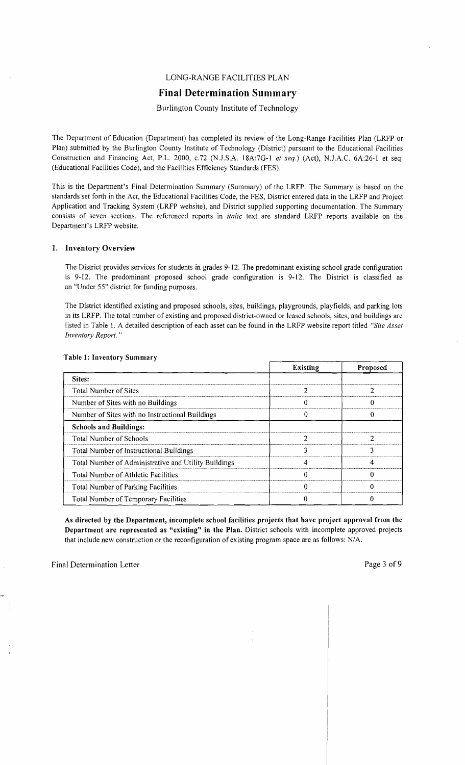## LONG-RANGE FACILITIES PLAN

# **Final Determination Summary**

## Burlington County Institute of Technology

The Department of Education (Department) has completed its review of the Long-Range Facilities Plan (LRFP or Plan) submitted by the Burlington County Institute of Technology (District) pursuant to the Educational Facilities Construction and Financing Act, P.L. 2000, *c.72* (N.J.S.A. 18A:7G-1 *et seq.*) (Act), N.J.A.C. 6A:26-1 et seq. (Educational Facilities Code), and the Facilities Efficiency Standards (FES).

This is the Department's Final Determination Summary (Summary) of the LRFP. The Summary is based on the standards set forth in the Act, the Educational Facilities Code, the FES, District entered data in the LRFP and Project Application and Tracking System (LRFP website), and District supplied supporting documentation. The Summary consists of seven sections. The referenced reports in *italic* text are standard LRFP reports available on the Department's LRFP website.

#### 1. Inventory Overview

The District provides services for students in grades 9-12. The predominant existing school grade configuration is 9-12. The predominant proposed school .grade configuration is 9-12. The District is classified as an "Under 55" district for funding purposes.

The District identified existing and proposed schools, sites, buildings, playgrounds, playfields, and parking lots in its LRFP. The total number of existing and proposed district-owned or leased schools, sites, and buildings are listed in Table 1. A detailed description of each asset can be found in the LRFP website report titled *"Site Asset Inventory Report. "* 

|                                                      | <b>Existing</b> | Proposed |
|------------------------------------------------------|-----------------|----------|
| Sites:                                               |                 |          |
| <b>Total Number of Sites</b>                         |                 |          |
| Number of Sites with no Buildings                    |                 |          |
| Number of Sites with no Instructional Buildings      |                 |          |
| <b>Schools and Buildings:</b>                        |                 |          |
| Total Number of Schools                              |                 |          |
| Total Number of Instructional Buildings              |                 |          |
| Total Number of Administrative and Utility Buildings |                 |          |
| Total Number of Athletic Facilities                  |                 |          |
| <b>Total Number of Parking Facilities</b>            |                 |          |
| <b>Total Number of Temporary Facilities</b>          |                 |          |

#### Table 1: Inventory Summary

As directed by the Department, incomplete school facilities projects that have project approval from the Department are represented as "existing" in the Plan. District schools with incomplete approved projects that include new construction or the reconfiguration of existing program space are as follows: N/A.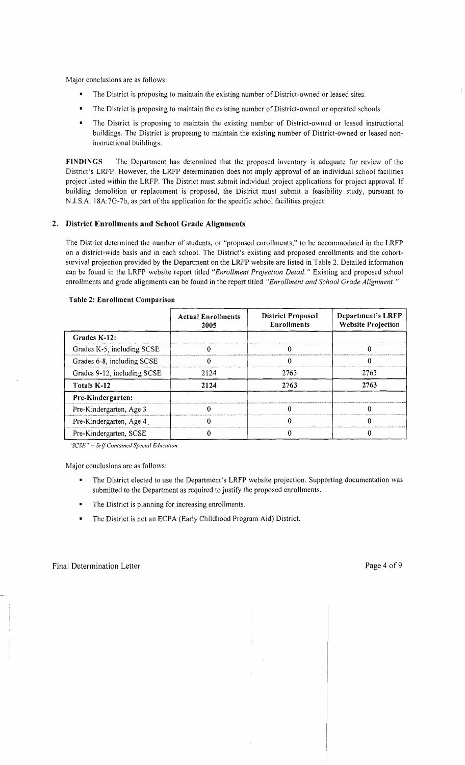Major conclusions are as follows:

- The District is proposing to maintain the existing number of District-owned or leased sites.
- The District is proposing to maintain the existing number of District-owned or operated schools.
- The District is proposing to maintain the existing number of District-owned or leased instructional buildings. The District is proposing to maintain the existing number of District-owned or leased noninstructional buildings.

FINDINGS The Department has determined that the proposed inventory is adequate for review of the District's LRFP. However, the LRFP determination does not imply approval of an individual school facilities project listed within the LRFP. The District must submit individual project applications for project approval. If building demolition or replacement is proposed, the District must submit a feasibility study, pursuant to N.J.S.A. 18A:7G-7b, as part of the application for the specific school facilities project.

## 2. District Enrollments and School Grade Alignments

The District determined the number of students, or "proposed enrollments," to be accommodated in the LRFP on a district-wide basis and in each school. The District's existing and proposed enrollments and the cohortsurvival projection provided by the Department on the LRFP website are listed in Table 2. Detailed information can be found in the LRFP website report titled *"Enrollment Projection Detail.* " Existing and proposed school enrollments and grade alignments can be found in the report titled *"Enrollment and School Grade Alignment. "* 

|                             | <b>Actual Enrollments</b><br>2005 | <b>District Proposed</b><br><b>Enrollments</b> | Department's LRFP<br><b>Website Projection</b> |
|-----------------------------|-----------------------------------|------------------------------------------------|------------------------------------------------|
| Grades K-12:                |                                   |                                                |                                                |
| Grades K-5, including SCSE  |                                   |                                                |                                                |
| Grades 6-8, including SCSE  |                                   | U                                              |                                                |
| Grades 9-12, including SCSE | 2124                              | 2763                                           | 2763                                           |
| Totals K-12                 | 2124                              | 2763                                           | 2763                                           |
| Pre-Kindergarten:           |                                   |                                                |                                                |
| Pre-Kindergarten, Age 3     |                                   |                                                |                                                |
| Pre-Kindergarten, Age 4     |                                   |                                                |                                                |
| Pre-Kindergarten, SCSE      |                                   |                                                |                                                |

#### Table 2: Enrollment Comparison

*"SCSE"* = *Self-Contained Special Education* 

Major conclusions are as follows:

- The District elected to use the Department's LRFP website projection. Supporting documentation was  $\blacksquare$ submitted to the Department as required to justify the proposed enrollments.
- The District is planning for increasing enrollments.
- The District is not an ECPA (Early Childhood Program Aid) District.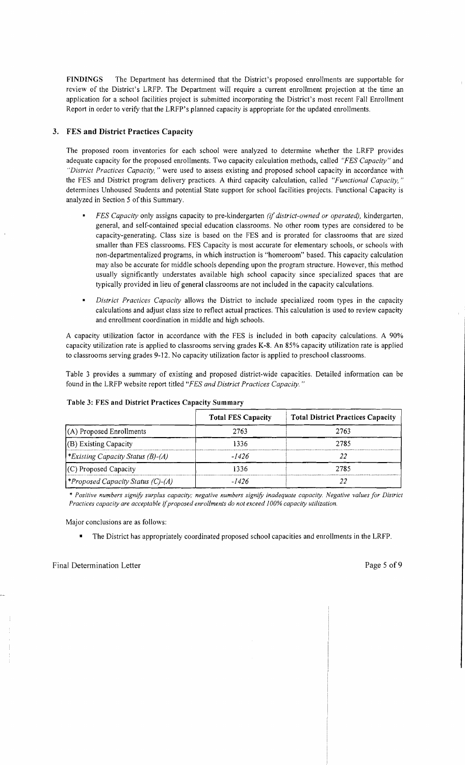**FINDINGS** The Department has determined that the District's proposed enrollments are supportable for review of the District's LRFP. The Department will require a current enrollment projection at the time an application for a school facilities project is submitted incorporating the District's most recent Fall Enrollment Report in order to verify that the LRFP's planned capacity is appropriate for the updated enrollments.

## **3. FES and District Practices Capacity**

The proposed room inventories for each school were analyzed to determine whether the LRFP provides adequate capacity for the proposed enrollments. Two capacity calculation methods, called *"FES Capacity"* and *"District Practices Capacity,* " were used to assess existing and proposed school capacity in accordance with the FES and District program delivery practices. A third capacity calculation, called *"Functional Capacity, "*  determines Unhoused Students and potential State support for school facilities projects. Functional Capacity is analyzed in Section 5 of this Summary.

- *FES Capacity* only assigns capacity to pre-kindergarten *(if district-owned or operated),* kindergarten, general, and self-contained special education classrooms. No other room types are considered to be capacity-generating. Class size is based on the FES and is prorated for classrooms that are sized smaller than FES classrooms. FES Capacity is most accurate for elementary schools, or schools with non-departmentalized programs, in which instruction is "homeroom" based. This capacity calculation may also be accurate for middle schools depending upon the program structure. However, this method usually significantly understates available high school capacity since specialized spaces that are typically provided in lieu of general classrooms are not included in the capacity calculations.
- $\blacksquare$ *District Practices Capacity* allows the District to include specialized room types in the capacity calculations and adjust class size to reflect actual practices. This calculation is used to review capacity and enrollment coordination in middle and high schools.

A capacity utilization factor in accordance with the FES is included in both capacity calculations. A 90% capacity utilization rate is applied to classrooms serving grades K-8. An 85% capacity utilization rate is applied to classrooms serving grades 9-12. No capacity utilization factor is applied to preschool classrooms.

Table 3 provides a summary of existing and proposed district-wide capacities. Detailed information can be found in the LRFP website report titled *"FES and District Practices Capacity. "* 

|                                                 | <b>Total FES Capacity</b> | <b>Total District Practices Capacity</b> |
|-------------------------------------------------|---------------------------|------------------------------------------|
| (A) Proposed Enrollments                        | 2763                      | 2763                                     |
| (B) Existing Capacity                           | 1336                      | 2785                                     |
| Existing Capacity Status (B)-(A)                | -1426                     |                                          |
| $(C)$ Proposed Capacity                         | 1336                      | 2785                                     |
| <i><b>*Proposed Capacity Status (C)-(A)</b></i> | -1426                     |                                          |

#### **Table 3: FES and District Practices Capacity Summary**

\* *Positive numbers signify surplus capacity; negative numbers signify inadequate capacity. Negative values for District*  Practices capacity are acceptable if proposed enrollments do not exceed 100% capacity utilization.

Major conclusions are as follows:

• The District has appropriately coordinated proposed school capacities and enrollments in the LRFP.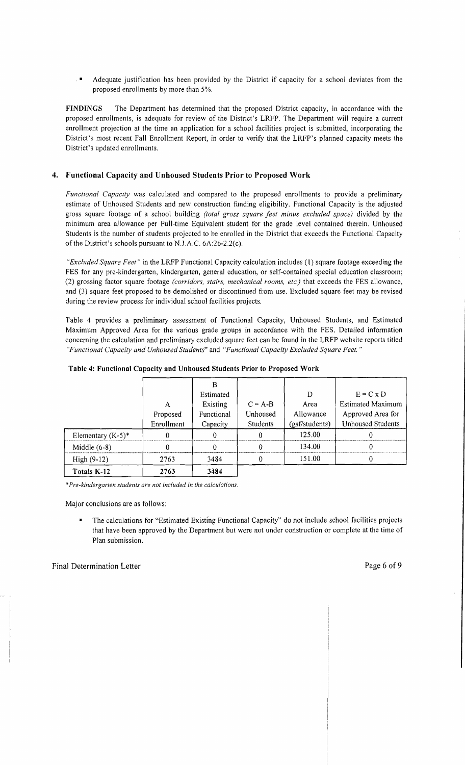$\blacksquare$  Adequate justification has been provided by the District if capacity for a school deviates from the proposed enrollments by more than 5%.

FINDINGS The Department has determined that the proposed District capacity, in accordance with the proposed enrollments, is adequate for review of the District's LRFP. The Department will require a current enrollment projection at the time an application for a school facilities project is submitted, incorporating the District's most recent Fall Enrollment Report, in order to verify that the LRFP's planned capacity meets the District's updated enrollments.

## 4. Functional Capacity and Unhoused Students Prior to Proposed Work

*Functional Capacity* was calculated and compared to the proposed enrollments to provide a preliminary estimate of Unhoused Students and new construction funding eligibility. Functional Capacity is the adjusted gross square footage of a school building *(total gross square feet minus excluded space)* divided by the minimum area aJlowance per Full-time Equivalent student for the grade level contained therein. Unhoused Students is the number of students projected to be enrolled in the District that exceeds the Functional Capacity of the District's schools pursuant to NJ.A.C. 6A:26-2.2(c).

*"Excluded Square Feet"* in the LRFP Functional Capacity calculation includes (1) square footage exceeding the FES for any pre-kindergarten, kindergarten, general education, or self-contained special education classroom; (2) grossing factor square footage *(corridors, stairs, mechanical rooms, etc.)* that exceeds the FES allowance, and (3) square feet proposed to be demolished or discontinued from use. Excluded square feet may be revised during the review process for individual school facilities projects.

Table 4 provides a preliminary assessment of Functional Capacity, Unhoused Students, and Estimated Maximum Approved Area for the various grade groups in accordance with the FES. Detailed information concerning the calculation and preliminary excluded square feet can be found in the LRFP website reports titled *"Functional Capacity and Unhoused Students"* and *"Functional Capacity Excluded Square Feet. "* 

|                      |            | Estimated  |           | D              | $E = C \times D$         |
|----------------------|------------|------------|-----------|----------------|--------------------------|
|                      | A          | Existing   | $C = A-B$ | Area           | <b>Estimated Maximum</b> |
|                      | Proposed   | Functional | Unhoused  | Allowance      | Approved Area for        |
|                      | Enrollment | Capacity   | Students  | (gsf/students) | <b>Unhoused Students</b> |
| Elementary $(K-5)^*$ |            | $\Omega$   |           | 125.00         |                          |
| Middle $(6-8)$       |            | ∩          |           | 134.00         |                          |
| $High(9-12)$         | 2763       | 3484       |           | 151.00         |                          |
| Totals K-12          | 2763       | 3484       |           |                |                          |

Table 4: Functional Capacity and Unhoused Students Prior to Proposed Work

\**Pre-kindergarten students are not included in the calculations.* 

Major conclusions are as follows:

The calculations for "Estimated Existing Functional Capacity" do not include school facilities projects that have been approved by the Department but were not under construction or complete at the time of Plan submission.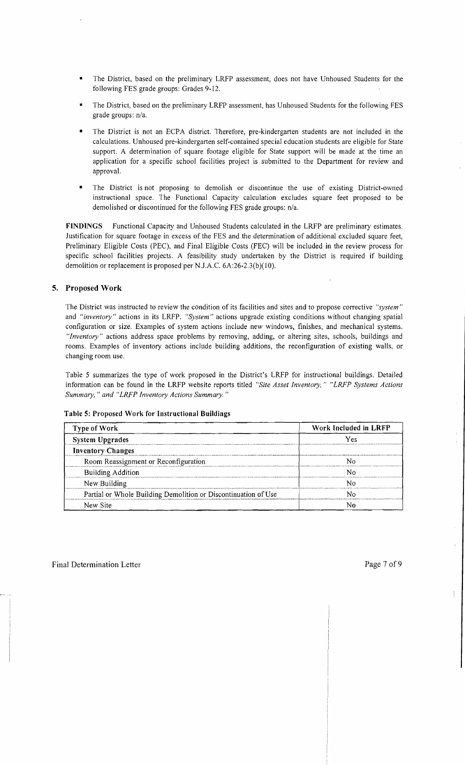- The District, based on the preliminary LRFP assessment, does not have Unhoused Students for the following FES grade groups: Grades 9-12.
- The District, based on the preliminary LRFP assessment, has Unhoused Students for the following FES grade groups: n/a.
- The District is not an ECPA district. Therefore, pre-kindergarten students are not included in the calculations. Unhoused pre-kindergarten self-contained special education students are eligible for State support. A determination of square footage eligible for State support will be made at the time an application for a specific school facilities project is submitted to the Department for review and approval.
- The District is not proposing to demolish or discontinue the use of existing District-owned instructional space. The Functional Capacity calculation excludes square feet proposed to be demolished or discontinued for the following FES grade groups: n/a.

FINDINGS Functional Capacity and Unhoused Students calculated in the LRFP are preliminary estimates. Justification for square footage in excess of the FES and the determination of additional excluded square feet, Preliminary Eligible Costs (PEC), and Final Eligible Costs (FEC) will be included in the review process for specific school facilities projects. A feasibility study undertaken by the District is required if building demolition or replacement is proposed per N.J.A.C. 6A:26-2.3(b)(10).

## 5. Proposed Work

The District was instructed to review the condition of its facilities and sites and to propose corrective *"system"*  and *"inventory"* actions in its LRFP. *"System"* actions upgrade existing conditions without changing spatial configuration or size. Examples of system actions include new windows, finishes, and mechanical systems. *"Inventory"* actions address space problems by removing, adding, or altering sites, schools, buildings and rooms. Examples of inventory actions include building additions, the reconfiguration of existing walls, or changing room use.

Table 5 summarizes the type of work proposed in the District's LRFP for instructional buildings. Detailed information can be found in the LRFP website reports titled *"Site Asset Inventory," "LRFP Systems Actions Summary,* " *and "LRFP Inventory Actions Summary. "* 

| <b>Type of Work</b>                                            | Work Included in LRFP |  |  |
|----------------------------------------------------------------|-----------------------|--|--|
| <b>System Upgrades</b>                                         | Yes                   |  |  |
| <b>Inventory Changes</b>                                       |                       |  |  |
| Room Reassignment or Reconfiguration                           |                       |  |  |
| <b>Building Addition</b>                                       |                       |  |  |
| New Building                                                   |                       |  |  |
| Partial or Whole Building Demolition or Discontinuation of Use |                       |  |  |
| New Site                                                       |                       |  |  |

#### Table 5: Proposed Work for Instructional Buildings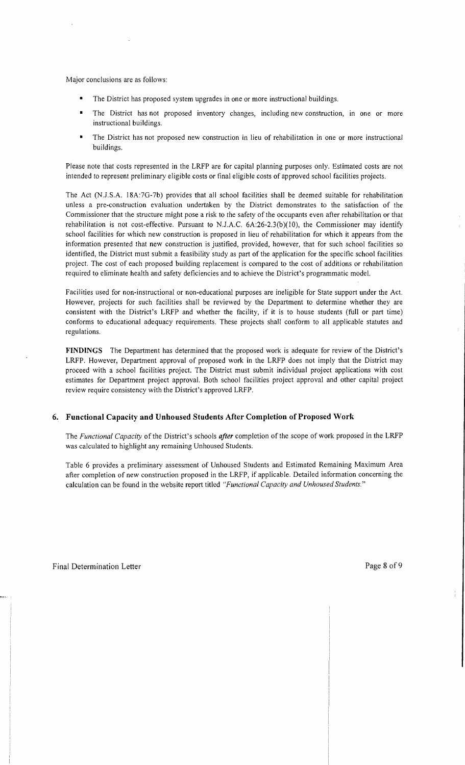Major conclusions are as follows:

- The District has proposed system upgrades in one or more instructional buildings.
- The District has not proposed inventory changes, including new construction, in one or more instructional buildings.
- The District has not proposed new construction in lieu of rehabilitation in one or more instructional buildings.

Please note that costs represented in the LRFP are for capital planning purposes only. Estimated costs are not intended to represent preliminary eligible costs or final eligible costs of approved school facilities projects.

The Act (N.J.S.A. l8A:7G-7b) provides that all school facilities shall be deemed suitable for rehabilitation unless a pre-construction evaluation undertaken by the District demonstrates to the satisfaction of the Commissioner that the structure might pose a risk to the safety of the occupants even after rehabilitation or that rehabilitation is not cost-effective. Pursuant to N.J.A.C. 6A:26-2.3(b)(10), the Commissioner may identify school facilities for which new construction is proposed in lieu of rehabilitation for which it appears from the information presented that new construction is justified, provided, however, that for such school facilities so identified, the District must submit a feasibility study as part of the application for the specific school facilities project. The cost of each proposed building replacement is compared to the cost of additions or rehabilitation required to eliminate health and safety deficiencies and to achieve the District's programmatic model.

Facilities used for non-instructional or non-educational purposes are ineligible for State support under the Act. However, projects for such facilities shall be reviewed by the Department to determine whether they are consistent with the District's LRFP and whether the facility, if it is to house students (full or part time) conforms to educational adequacy requirements. These projects shall conform to all applicable statutes and regulations.

**FINDINGS** The Department has determined that the proposed work is adequate for review of the District's LRFP. However, Department approval of proposed work in the LRFP does not imply that the District may proceed with a school facilities project. The District must submit individual project applications with cost estimates for Department project approval. Both school facilities project approval and other capital project review require consistency with the District's approved LRFP.

## **6. Functional Capacity and Unhoused Students After Completion** of Proposed **Work**

The *Functional Capacity* of the District's schools *after* completion of the scope of work proposed in the LRFP was calculated to highlight any remaining Unhoused Students.

Table 6 provides a preliminary assessment of Unhoused Students and Estimated Remaining Maximum Area after completion of new construction proposed in the LRFP, if applicable. Detailed information concerning the calculation can be found in the website report titled *"Functional Capacity and Unhoused Students."*